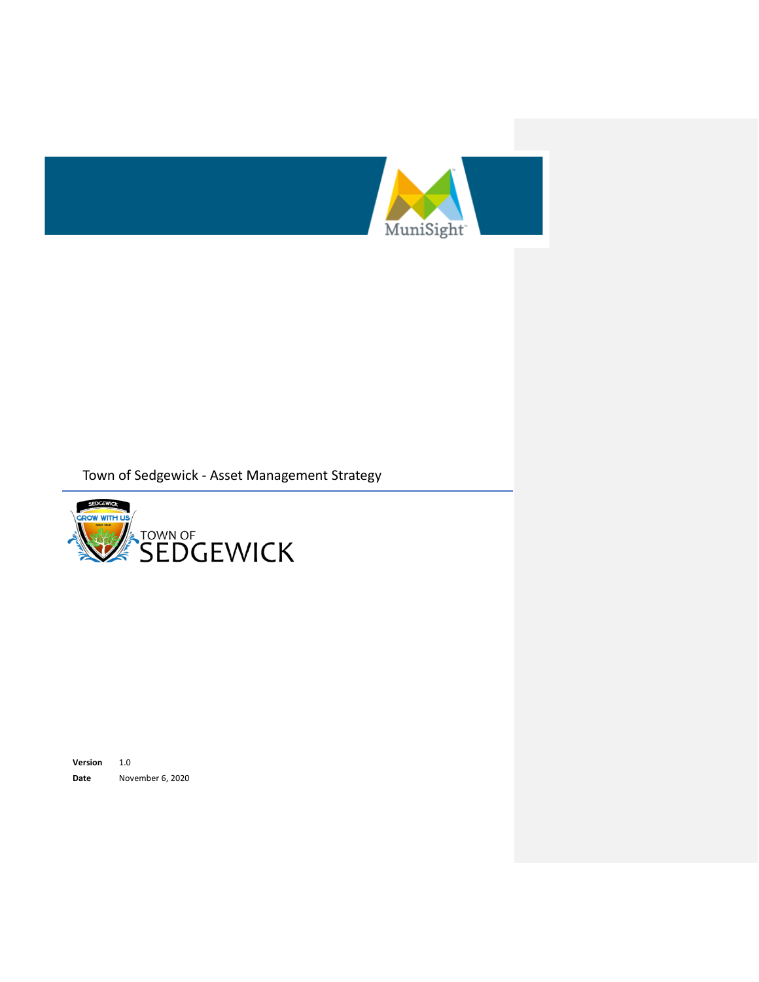



**Version** 1.0 **Date** November 6, 2020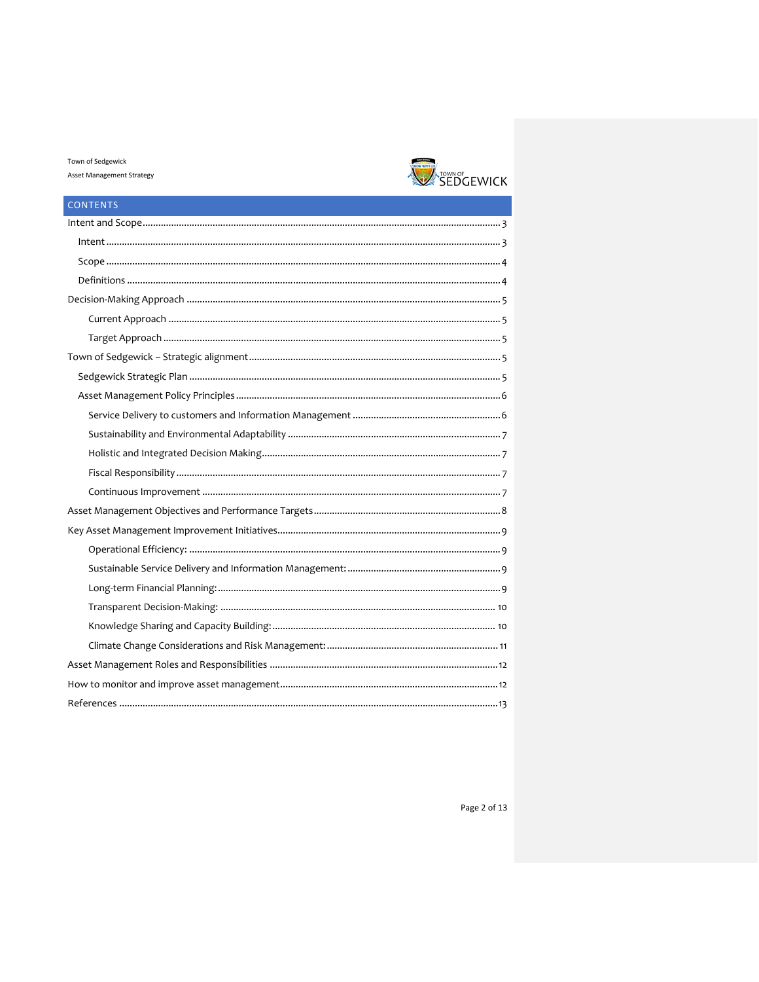

| <b>CONTENTS</b> |
|-----------------|
|                 |
|                 |
|                 |
|                 |
|                 |
|                 |
|                 |
|                 |
|                 |
|                 |
|                 |
|                 |
|                 |
|                 |
|                 |
|                 |
|                 |
|                 |
|                 |
|                 |
|                 |
|                 |
|                 |
|                 |
|                 |
|                 |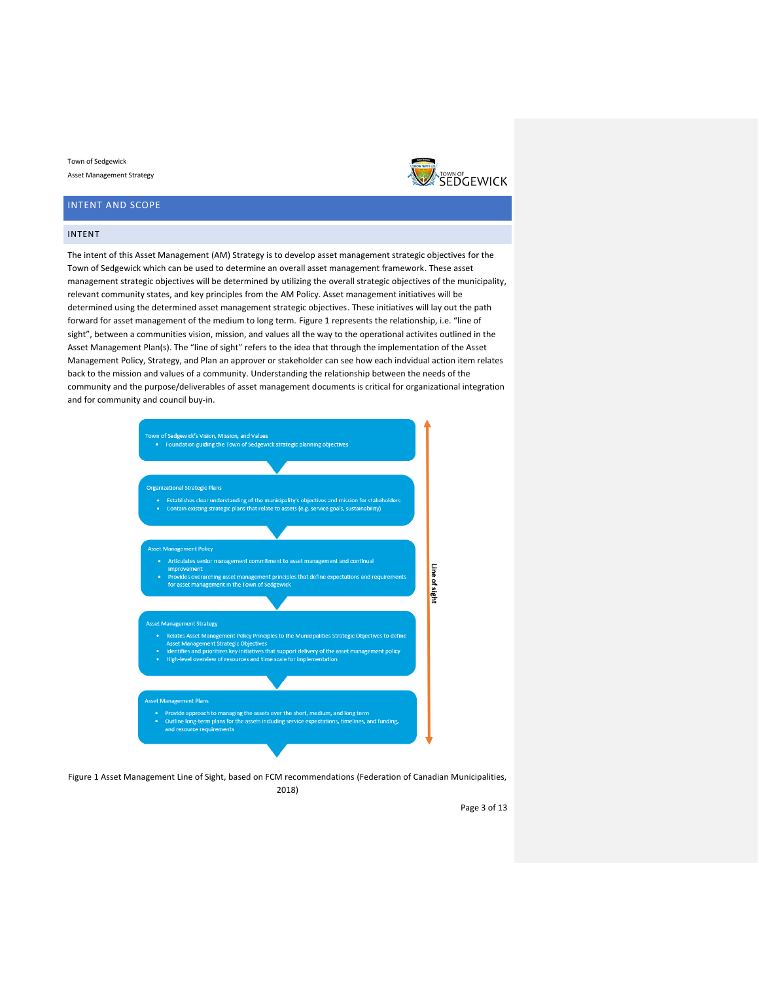## <span id="page-2-0"></span>INTENT AND SCOPE

#### <span id="page-2-1"></span>INTENT

The intent of this Asset Management (AM) Strategy is to develop asset management strategic objectives for the Town of Sedgewick which can be used to determine an overall asset management framework. These asset management strategic objectives will be determined by utilizing the overall strategic objectives of the municipality, relevant community states, and key principles from the AM Policy. Asset management initiatives will be determined using the determined asset management strategic objectives. These initiatives will lay out the path forward for asset management of the medium to long term. Figure 1 represents the relationship, i.e. "line of sight", between a communities vision, mission, and values all the way to the operational activites outlined in the Asset Management Plan(s). The "line of sight" refers to the idea that through the implementation of the Asset Management Policy, Strategy, and Plan an approver or stakeholder can see how each indvidual action item relates back to the mission and values of a community. Understanding the relationship between the needs of the community and the purpose/deliverables of asset management documents is critical for organizational integration and for community and council buy-in.



Figure 1 Asset Management Line of Sight, based on FCM recommendations (Federation of Canadian Municipalities, 2018)

Page 3 of 13

**EXATOWA OF**<br>SEDGEWICK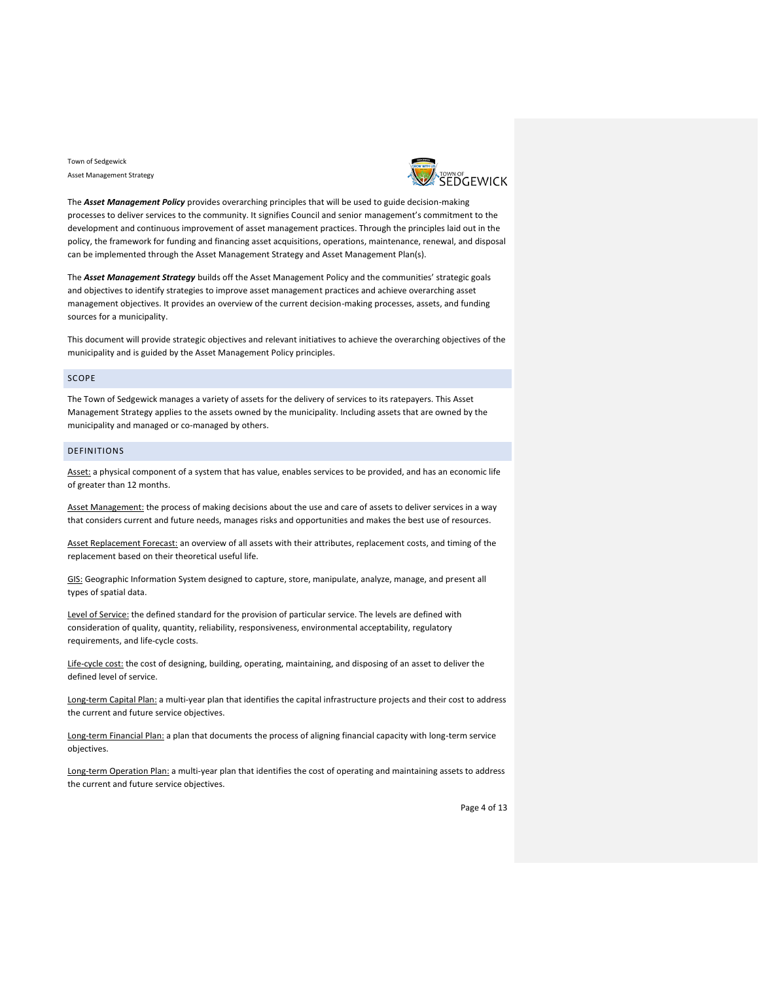

The *Asset Management Policy* provides overarching principles that will be used to guide decision-making processes to deliver services to the community. It signifies Council and senior management's commitment to the development and continuous improvement of asset management practices. Through the principles laid out in the policy, the framework for funding and financing asset acquisitions, operations, maintenance, renewal, and disposal can be implemented through the Asset Management Strategy and Asset Management Plan(s).

The *Asset Management Strategy* builds off the Asset Management Policy and the communities' strategic goals and objectives to identify strategies to improve asset management practices and achieve overarching asset management objectives. It provides an overview of the current decision-making processes, assets, and funding sources for a municipality.

This document will provide strategic objectives and relevant initiatives to achieve the overarching objectives of the municipality and is guided by the Asset Management Policy principles.

## <span id="page-3-0"></span>SCOPE

The Town of Sedgewick manages a variety of assets for the delivery of services to its ratepayers. This Asset Management Strategy applies to the assets owned by the municipality. Including assets that are owned by the municipality and managed or co-managed by others.

## <span id="page-3-1"></span>DEFINITIONS

Asset: a physical component of a system that has value, enables services to be provided, and has an economic life of greater than 12 months.

Asset Management: the process of making decisions about the use and care of assets to deliver services in a way that considers current and future needs, manages risks and opportunities and makes the best use of resources.

Asset Replacement Forecast: an overview of all assets with their attributes, replacement costs, and timing of the replacement based on their theoretical useful life.

GIS: Geographic Information System designed to capture, store, manipulate, analyze, manage, and present all types of spatial data.

Level of Service: the defined standard for the provision of particular service. The levels are defined with consideration of quality, quantity, reliability, responsiveness, environmental acceptability, regulatory requirements, and life-cycle costs.

Life-cycle cost: the cost of designing, building, operating, maintaining, and disposing of an asset to deliver the defined level of service.

Long-term Capital Plan: a multi-year plan that identifies the capital infrastructure projects and their cost to address the current and future service objectives.

Long-term Financial Plan: a plan that documents the process of aligning financial capacity with long-term service objectives.

Long-term Operation Plan: a multi-year plan that identifies the cost of operating and maintaining assets to address the current and future service objectives.

Page 4 of 13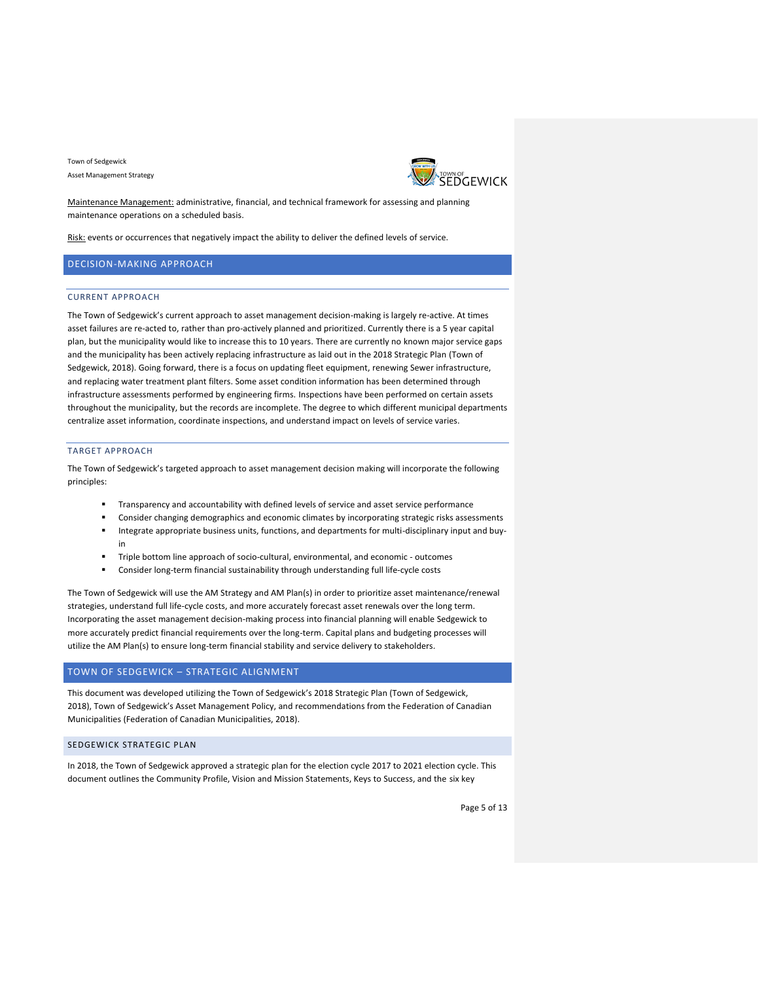

Maintenance Management: administrative, financial, and technical framework for assessing and planning maintenance operations on a scheduled basis.

Risk: events or occurrences that negatively impact the ability to deliver the defined levels of service.

## <span id="page-4-1"></span><span id="page-4-0"></span>DECISION-MAKING APPROACH

#### CURRENT APPROACH

The Town of Sedgewick's current approach to asset management decision-making is largely re-active. At times asset failures are re-acted to, rather than pro-actively planned and prioritized. Currently there is a 5 year capital plan, but the municipality would like to increase this to 10 years. There are currently no known major service gaps and the municipality has been actively replacing infrastructure as laid out in the 2018 Strategic Plan (Town of Sedgewick, 2018). Going forward, there is a focus on updating fleet equipment, renewing Sewer infrastructure, and replacing water treatment plant filters. Some asset condition information has been determined through infrastructure assessments performed by engineering firms. Inspections have been performed on certain assets throughout the municipality, but the records are incomplete. The degree to which different municipal departments centralize asset information, coordinate inspections, and understand impact on levels of service varies.

#### <span id="page-4-2"></span>TARGET APPROACH

The Town of Sedgewick's targeted approach to asset management decision making will incorporate the following principles:

- Transparency and accountability with defined levels of service and asset service performance
- Consider changing demographics and economic climates by incorporating strategic risks assessments
- Integrate appropriate business units, functions, and departments for multi-disciplinary input and buyin
- Triple bottom line approach of socio-cultural, environmental, and economic outcomes
- Consider long-term financial sustainability through understanding full life-cycle costs

The Town of Sedgewick will use the AM Strategy and AM Plan(s) in order to prioritize asset maintenance/renewal strategies, understand full life-cycle costs, and more accurately forecast asset renewals over the long term. Incorporating the asset management decision-making process into financial planning will enable Sedgewick to more accurately predict financial requirements over the long-term. Capital plans and budgeting processes will utilize the AM Plan(s) to ensure long-term financial stability and service delivery to stakeholders.

## <span id="page-4-3"></span>TOWN OF SEDGEWICK – STRATEGIC ALIGNMENT

This document was developed utilizing the Town of Sedgewick's 2018 Strategic Plan (Town of Sedgewick, 2018), Town of Sedgewick's Asset Management Policy, and recommendations from the Federation of Canadian Municipalities (Federation of Canadian Municipalities, 2018).

#### <span id="page-4-4"></span>SEDGEWICK STRATEGIC PLAN

In 2018, the Town of Sedgewick approved a strategic plan for the election cycle 2017 to 2021 election cycle. This document outlines the Community Profile, Vision and Mission Statements, Keys to Success, and the six key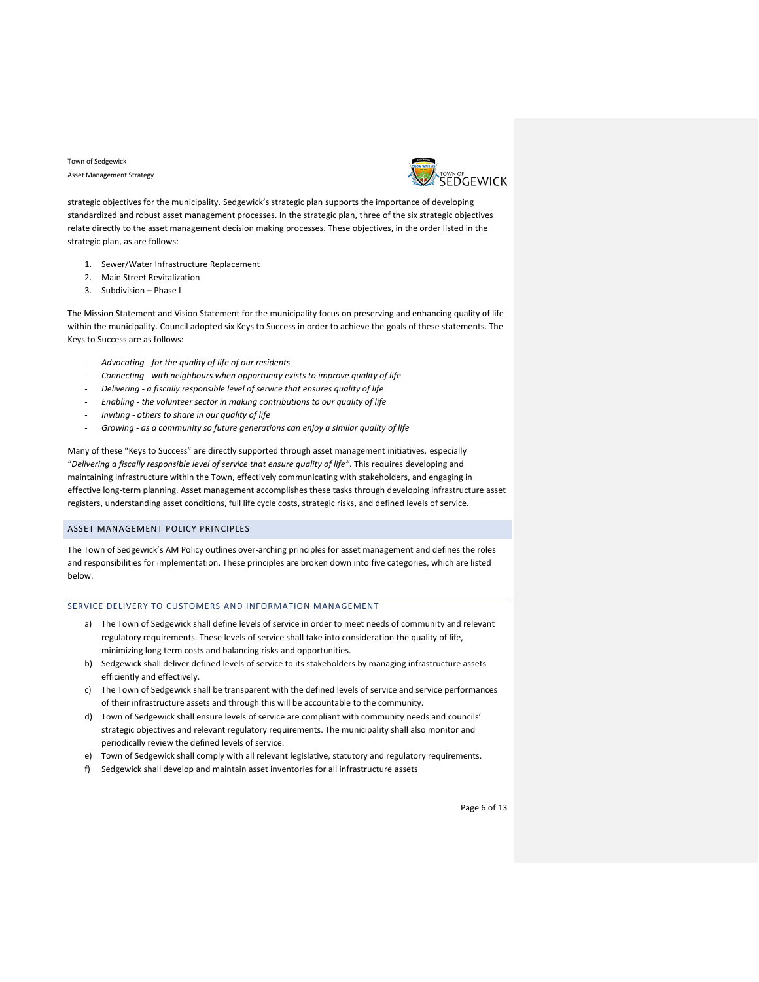

strategic objectives for the municipality. Sedgewick's strategic plan supports the importance of developing standardized and robust asset management processes. In the strategic plan, three of the six strategic objectives relate directly to the asset management decision making processes. These objectives, in the order listed in the strategic plan, as are follows:

- 1. Sewer/Water Infrastructure Replacement
- 2. Main Street Revitalization
- 3. Subdivision Phase I

The Mission Statement and Vision Statement for the municipality focus on preserving and enhancing quality of life within the municipality. Council adopted six Keys to Success in order to achieve the goals of these statements. The Keys to Success are as follows:

- *Advocating - for the quality of life of our residents*
- *Connecting - with neighbours when opportunity exists to improve quality of life*
- *Delivering - a fiscally responsible level of service that ensures quality of life*
- *Enabling - the volunteer sector in making contributions to our quality of life*
- *Inviting - others to share in our quality of life*
- *Growing - as a community so future generations can enjoy a similar quality of life*

Many of these "Keys to Success" are directly supported through asset management initiatives, especially "*Delivering a fiscally responsible level of service that ensure quality of life"*. This requires developing and maintaining infrastructure within the Town, effectively communicating with stakeholders, and engaging in effective long-term planning. Asset management accomplishes these tasks through developing infrastructure asset registers, understanding asset conditions, full life cycle costs, strategic risks, and defined levels of service.

## <span id="page-5-0"></span>ASSET MANAGEMENT POLICY PRINCIPLES

The Town of Sedgewick's AM Policy outlines over-arching principles for asset management and defines the roles and responsibilities for implementation. These principles are broken down into five categories, which are listed below.

## <span id="page-5-1"></span>SERVICE DELIVERY TO CUSTOMERS AND INFORMATION MANAGEMENT

- a) The Town of Sedgewick shall define levels of service in order to meet needs of community and relevant regulatory requirements. These levels of service shall take into consideration the quality of life, minimizing long term costs and balancing risks and opportunities.
- b) Sedgewick shall deliver defined levels of service to its stakeholders by managing infrastructure assets efficiently and effectively.
- c) The Town of Sedgewick shall be transparent with the defined levels of service and service performances of their infrastructure assets and through this will be accountable to the community.
- d) Town of Sedgewick shall ensure levels of service are compliant with community needs and councils' strategic objectives and relevant regulatory requirements. The municipality shall also monitor and periodically review the defined levels of service.
- e) Town of Sedgewick shall comply with all relevant legislative, statutory and regulatory requirements.
- f) Sedgewick shall develop and maintain asset inventories for all infrastructure assets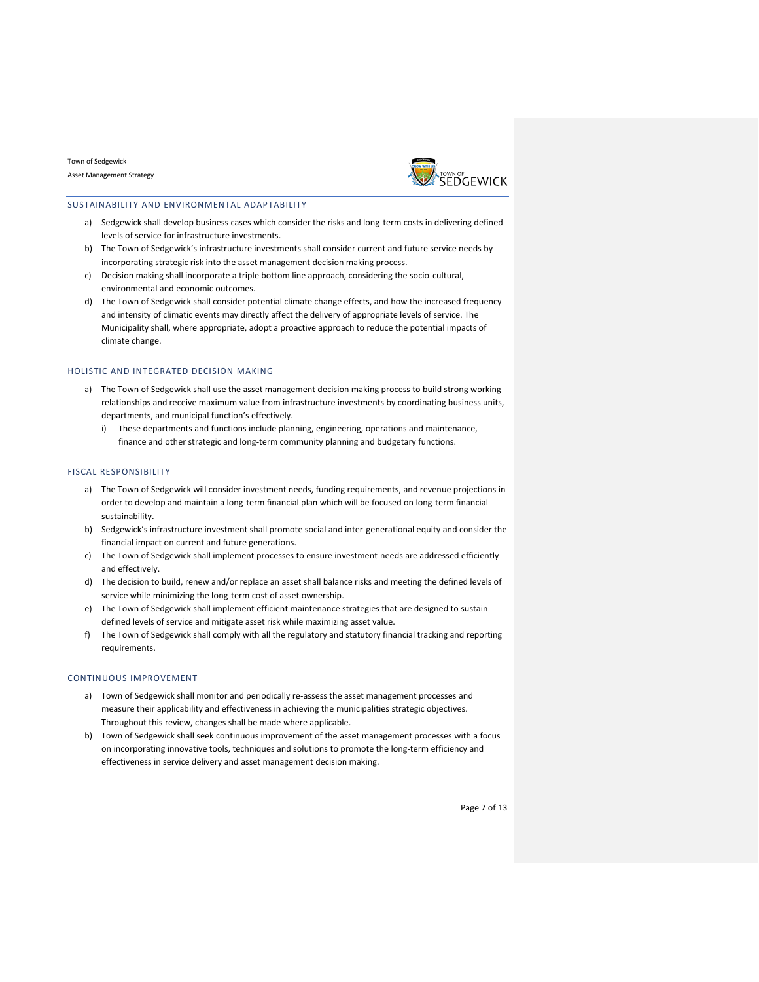

### <span id="page-6-0"></span>SUSTAINABILITY AND ENVIRONMENTAL ADAPTABILITY

- a) Sedgewick shall develop business cases which consider the risks and long-term costs in delivering defined levels of service for infrastructure investments.
- b) The Town of Sedgewick's infrastructure investments shall consider current and future service needs by incorporating strategic risk into the asset management decision making process.
- c) Decision making shall incorporate a triple bottom line approach, considering the socio-cultural, environmental and economic outcomes.
- d) The Town of Sedgewick shall consider potential climate change effects, and how the increased frequency and intensity of climatic events may directly affect the delivery of appropriate levels of service. The Municipality shall, where appropriate, adopt a proactive approach to reduce the potential impacts of climate change.

### <span id="page-6-1"></span>HOLISTIC AND INTEGRATED DECISION MAKING

- a) The Town of Sedgewick shall use the asset management decision making process to build strong working relationships and receive maximum value from infrastructure investments by coordinating business units, departments, and municipal function's effectively.
	- i) These departments and functions include planning, engineering, operations and maintenance, finance and other strategic and long-term community planning and budgetary functions.

#### <span id="page-6-2"></span>FISCAL RESPONSIBILITY

- a) The Town of Sedgewick will consider investment needs, funding requirements, and revenue projections in order to develop and maintain a long-term financial plan which will be focused on long-term financial sustainability.
- b) Sedgewick's infrastructure investment shall promote social and inter-generational equity and consider the financial impact on current and future generations.
- c) The Town of Sedgewick shall implement processes to ensure investment needs are addressed efficiently and effectively.
- d) The decision to build, renew and/or replace an asset shall balance risks and meeting the defined levels of service while minimizing the long-term cost of asset ownership.
- e) The Town of Sedgewick shall implement efficient maintenance strategies that are designed to sustain defined levels of service and mitigate asset risk while maximizing asset value.
- f) The Town of Sedgewick shall comply with all the regulatory and statutory financial tracking and reporting requirements.

#### <span id="page-6-3"></span>CONTINUOUS IMPROVEMENT

- a) Town of Sedgewick shall monitor and periodically re-assess the asset management processes and measure their applicability and effectiveness in achieving the municipalities strategic objectives. Throughout this review, changes shall be made where applicable.
- b) Town of Sedgewick shall seek continuous improvement of the asset management processes with a focus on incorporating innovative tools, techniques and solutions to promote the long-term efficiency and effectiveness in service delivery and asset management decision making.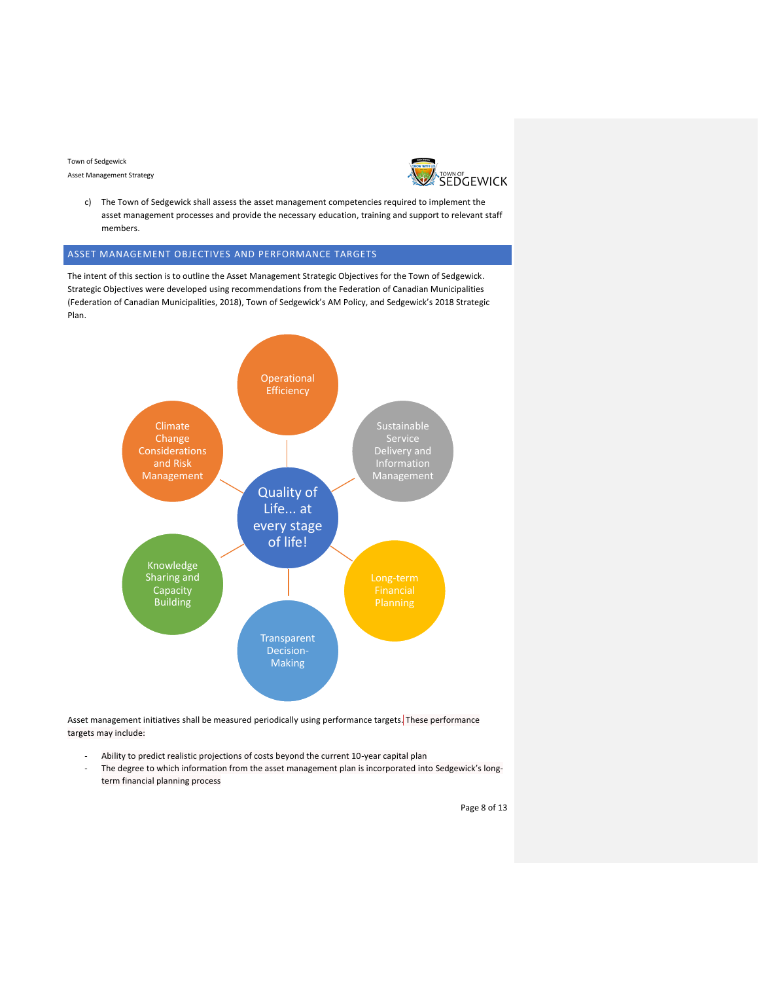Asset Management Strategy



c) The Town of Sedgewick shall assess the asset management competencies required to implement the asset management processes and provide the necessary education, training and support to relevant staff members.

## <span id="page-7-0"></span>ASSET MANAGEMENT OBJECTIVES AND PERFORMANCE TARGETS

The intent of this section is to outline the Asset Management Strategic Objectives for the Town of Sedgewick. Strategic Objectives were developed using recommendations from the Federation of Canadian Municipalities (Federation of Canadian Municipalities, 2018), Town of Sedgewick's AM Policy, and Sedgewick's 2018 Strategic Plan.



Asset management initiatives shall be measured periodically using performance targets. These performance targets may include:

- Ability to predict realistic projections of costs beyond the current 10-year capital plan
- The degree to which information from the asset management plan is incorporated into Sedgewick's longterm financial planning process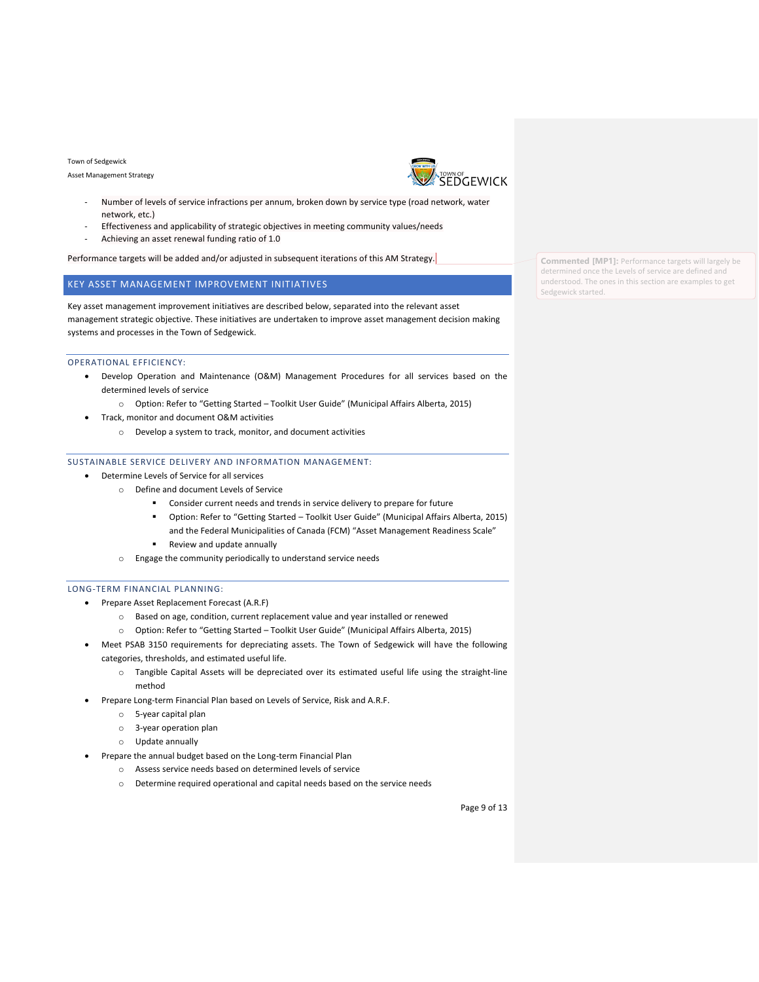Asset Management Strategy



- Number of levels of service infractions per annum, broken down by service type (road network, water network, etc.)
- Effectiveness and applicability of strategic objectives in meeting community values/needs
- Achieving an asset renewal funding ratio of 1.0

Performance targets will be added and/or adjusted in subsequent iterations of this AM Strategy.

## <span id="page-8-0"></span>KEY ASSET MANAGEMENT IMPROVEMENT INITIATIVES

Key asset management improvement initiatives are described below, separated into the relevant asset management strategic objective. These initiatives are undertaken to improve asset management decision making systems and processes in the Town of Sedgewick.

#### <span id="page-8-1"></span>OPERATIONAL EFFICIENCY:

- Develop Operation and Maintenance (O&M) Management Procedures for all services based on the determined levels of service
	- o Option: Refer to "Getting Started Toolkit User Guide" (Municipal Affairs Alberta, 2015)
- Track, monitor and document O&M activities
	- o Develop a system to track, monitor, and document activities

## <span id="page-8-2"></span>SUSTAINABLE SERVICE DELIVERY AND INFORMATION MANAGEMENT:

- Determine Levels of Service for all services
	- o Define and document Levels of Service
		- Consider current needs and trends in service delivery to prepare for future
		- Option: Refer to "Getting Started Toolkit User Guide" (Municipal Affairs Alberta, 2015) and the Federal Municipalities of Canada (FCM) "Asset Management Readiness Scale"
		- Review and update annually
		- o Engage the community periodically to understand service needs

#### <span id="page-8-3"></span>LONG-TERM FINANCIAL PLANNING:

- Prepare Asset Replacement Forecast (A.R.F)
	- o Based on age, condition, current replacement value and year installed or renewed
	- o Option: Refer to "Getting Started Toolkit User Guide" (Municipal Affairs Alberta, 2015)
- Meet PSAB 3150 requirements for depreciating assets. The Town of Sedgewick will have the following categories, thresholds, and estimated useful life.
	- o Tangible Capital Assets will be depreciated over its estimated useful life using the straight-line method
- Prepare Long-term Financial Plan based on Levels of Service, Risk and A.R.F.
	- o 5-year capital plan
	- o 3-year operation plan
	- o Update annually
- Prepare the annual budget based on the Long-term Financial Plan
	- o Assess service needs based on determined levels of service
		- o Determine required operational and capital needs based on the service needs

**Commented [MP1]:** Performance targets will largely be determined once the Levels of service are defined and understood. The ones in this section are examples to get Sedgewick started.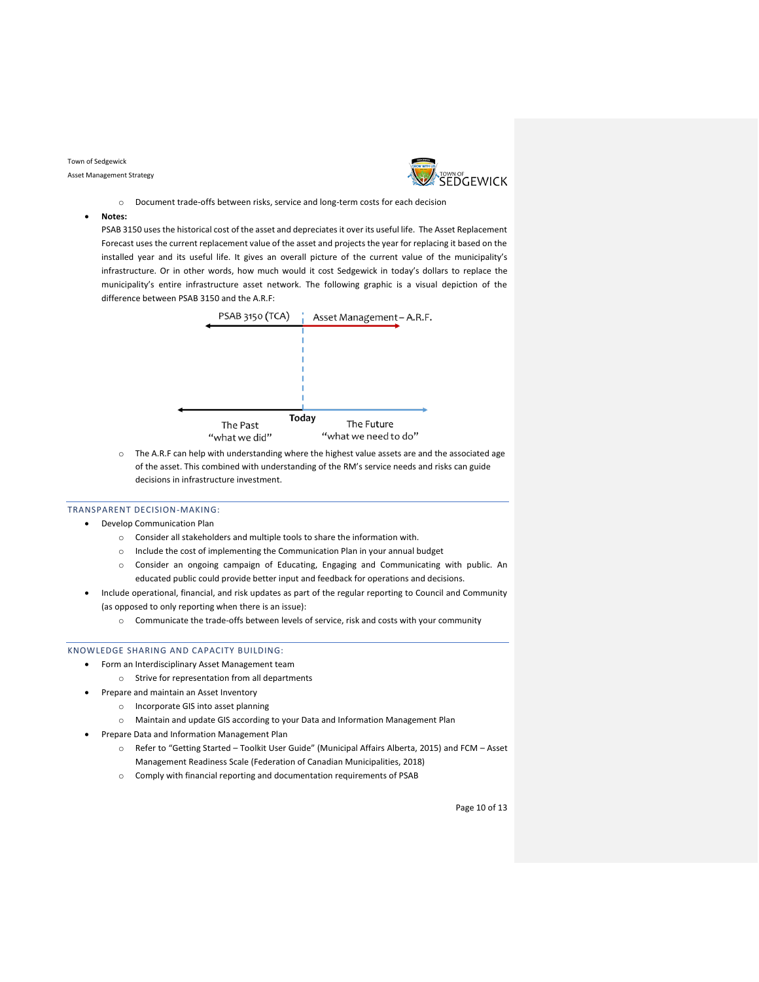Asset Management Strategy



- o Document trade-offs between risks, service and long-term costs for each decision
- **Notes:**

PSAB 3150 uses the historical cost of the asset and depreciates it over its useful life. The Asset Replacement Forecast uses the current replacement value of the asset and projects the year for replacing it based on the installed year and its useful life. It gives an overall picture of the current value of the municipality's infrastructure. Or in other words, how much would it cost Sedgewick in today's dollars to replace the municipality's entire infrastructure asset network. The following graphic is a visual depiction of the difference between PSAB 3150 and the A.R.F:



o The A.R.F can help with understanding where the highest value assets are and the associated age of the asset. This combined with understanding of the RM's service needs and risks can guide decisions in infrastructure investment.

- <span id="page-9-0"></span>TRANSPARENT DECISION-MAKING:
	- Develop Communication Plan
		- o Consider all stakeholders and multiple tools to share the information with.
		- o Include the cost of implementing the Communication Plan in your annual budget
		- o Consider an ongoing campaign of Educating, Engaging and Communicating with public. An educated public could provide better input and feedback for operations and decisions.
	- Include operational, financial, and risk updates as part of the regular reporting to Council and Community (as opposed to only reporting when there is an issue):
		- o Communicate the trade-offs between levels of service, risk and costs with your community

#### <span id="page-9-1"></span>KNOWLEDGE SHARING AND CAPACITY BUILDING:

- Form an Interdisciplinary Asset Management team
	- o Strive for representation from all departments
- Prepare and maintain an Asset Inventory
	- o Incorporate GIS into asset planning
	- o Maintain and update GIS according to your Data and Information Management Plan
- Prepare Data and Information Management Plan
	- o Refer to "Getting Started Toolkit User Guide" (Municipal Affairs Alberta, 2015) and FCM Asset Management Readiness Scale (Federation of Canadian Municipalities, 2018)
	- o Comply with financial reporting and documentation requirements of PSAB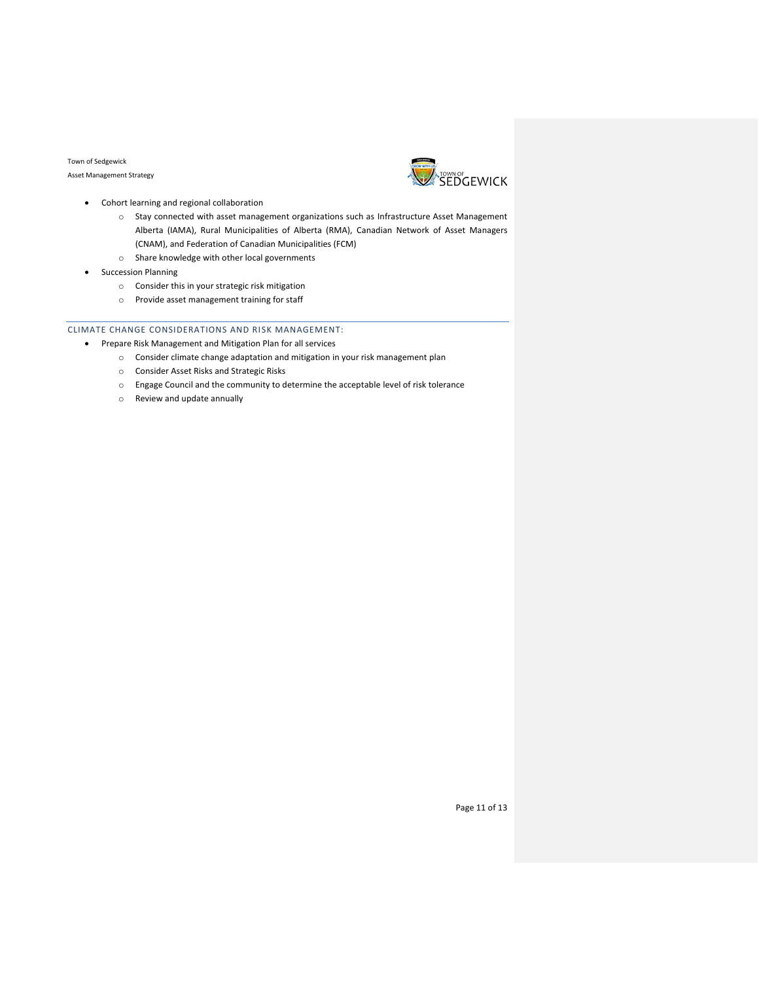Asset Management Strategy



- Cohort learning and regional collaboration
	- o Stay connected with asset management organizations such as Infrastructure Asset Management Alberta (IAMA), Rural Municipalities of Alberta (RMA), Canadian Network of Asset Managers (CNAM), and Federation of Canadian Municipalities (FCM)
	- o Share knowledge with other local governments
- Succession Planning
	- o Consider this in your strategic risk mitigation
	- o Provide asset management training for staff

## <span id="page-10-0"></span>CLIMATE CHANGE CONSIDERATIONS AND RISK MANAGEMENT:

- Prepare Risk Management and Mitigation Plan for all services
	- $\circ$  Consider climate change adaptation and mitigation in your risk management plan
	- o Consider Asset Risks and Strategic Risks
	- o Engage Council and the community to determine the acceptable level of risk tolerance
	- o Review and update annually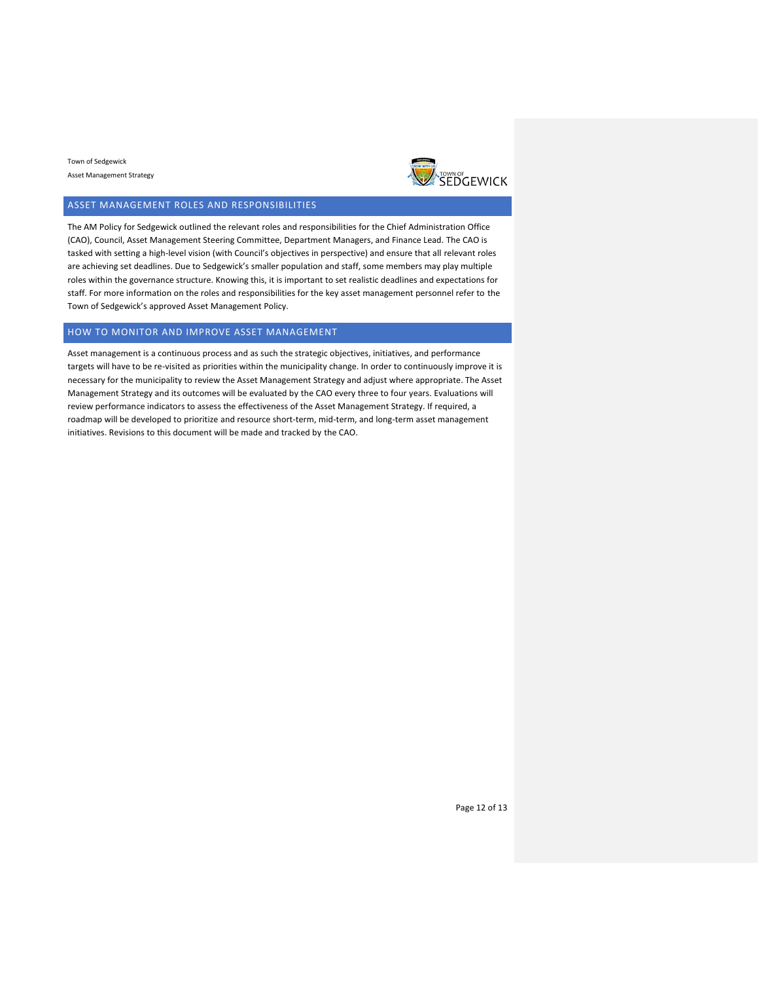

## <span id="page-11-0"></span>ASSET MANAGEMENT ROLES AND RESPONSIBILITIES

The AM Policy for Sedgewick outlined the relevant roles and responsibilities for the Chief Administration Office (CAO), Council, Asset Management Steering Committee, Department Managers, and Finance Lead. The CAO is tasked with setting a high-level vision (with Council's objectives in perspective) and ensure that all relevant roles are achieving set deadlines. Due to Sedgewick's smaller population and staff, some members may play multiple roles within the governance structure. Knowing this, it is important to set realistic deadlines and expectations for staff. For more information on the roles and responsibilities for the key asset management personnel refer to the Town of Sedgewick's approved Asset Management Policy.

## <span id="page-11-1"></span>HOW TO MONITOR AND IMPROVE ASSET MANAGEMENT

Asset management is a continuous process and as such the strategic objectives, initiatives, and performance targets will have to be re-visited as priorities within the municipality change. In order to continuously improve it is necessary for the municipality to review the Asset Management Strategy and adjust where appropriate. The Asset Management Strategy and its outcomes will be evaluated by the CAO every three to four years. Evaluations will review performance indicators to assess the effectiveness of the Asset Management Strategy. If required, a roadmap will be developed to prioritize and resource short-term, mid-term, and long-term asset management initiatives. Revisions to this document will be made and tracked by the CAO.